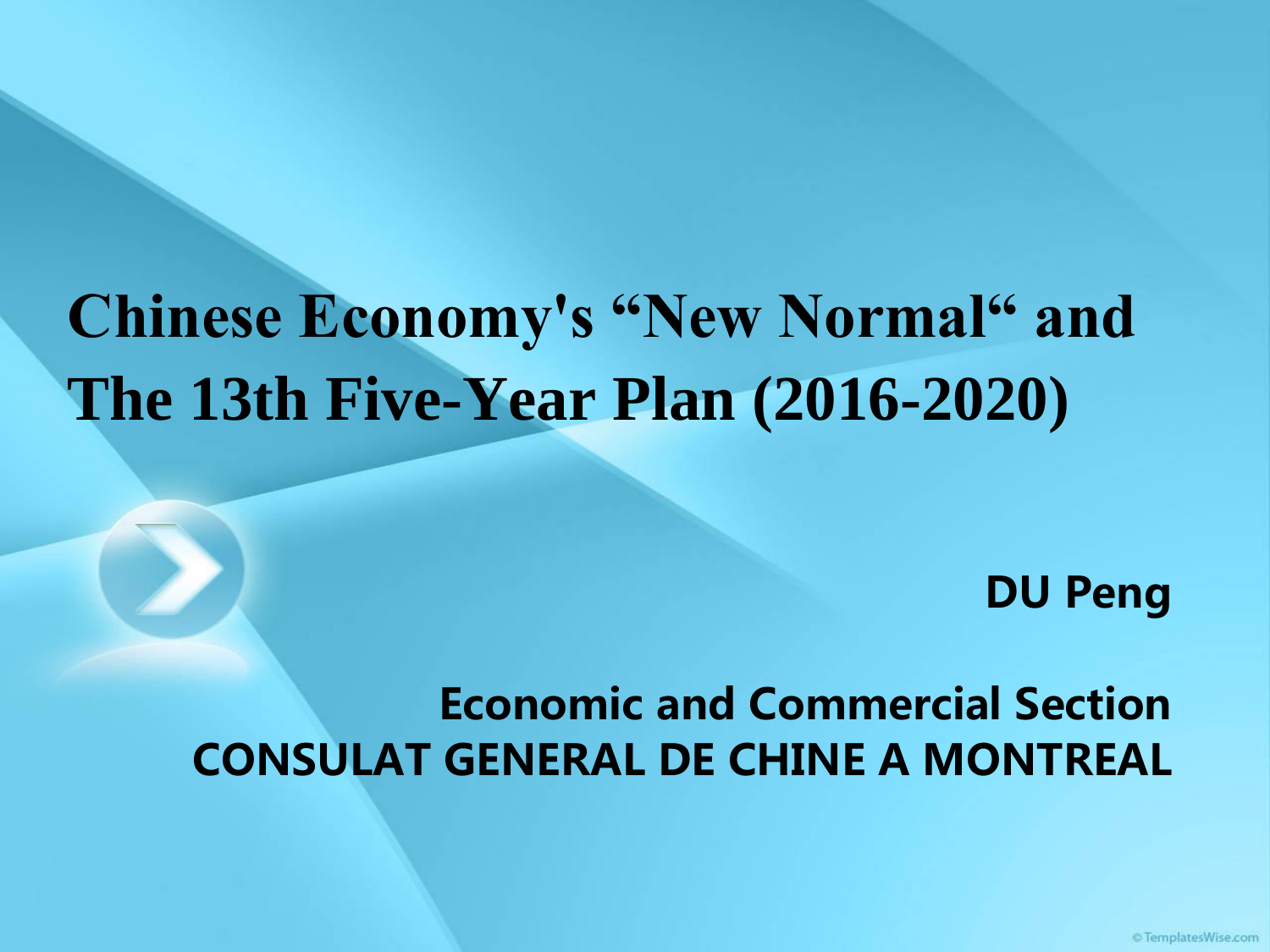# **Chinese Economy's "New Normal" and The 13th Five-Year Plan (2016-2020)**

**DU Peng** 

**Economic and Commercial Section CONSULAT GENERAL DE CHINE A MONTREAL**

TemplatesWise.com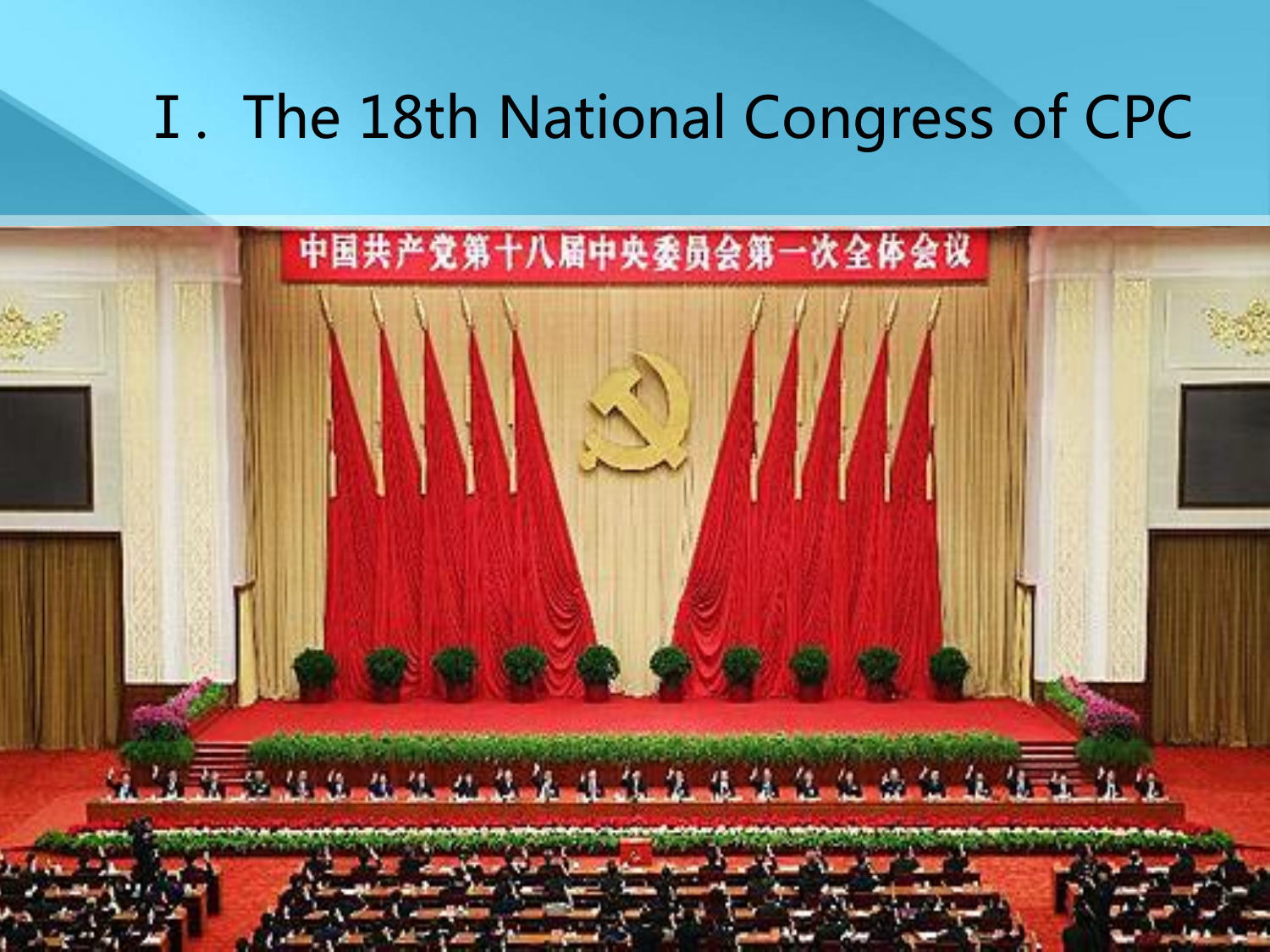# Ⅰ. The 18th National Congress of CPC

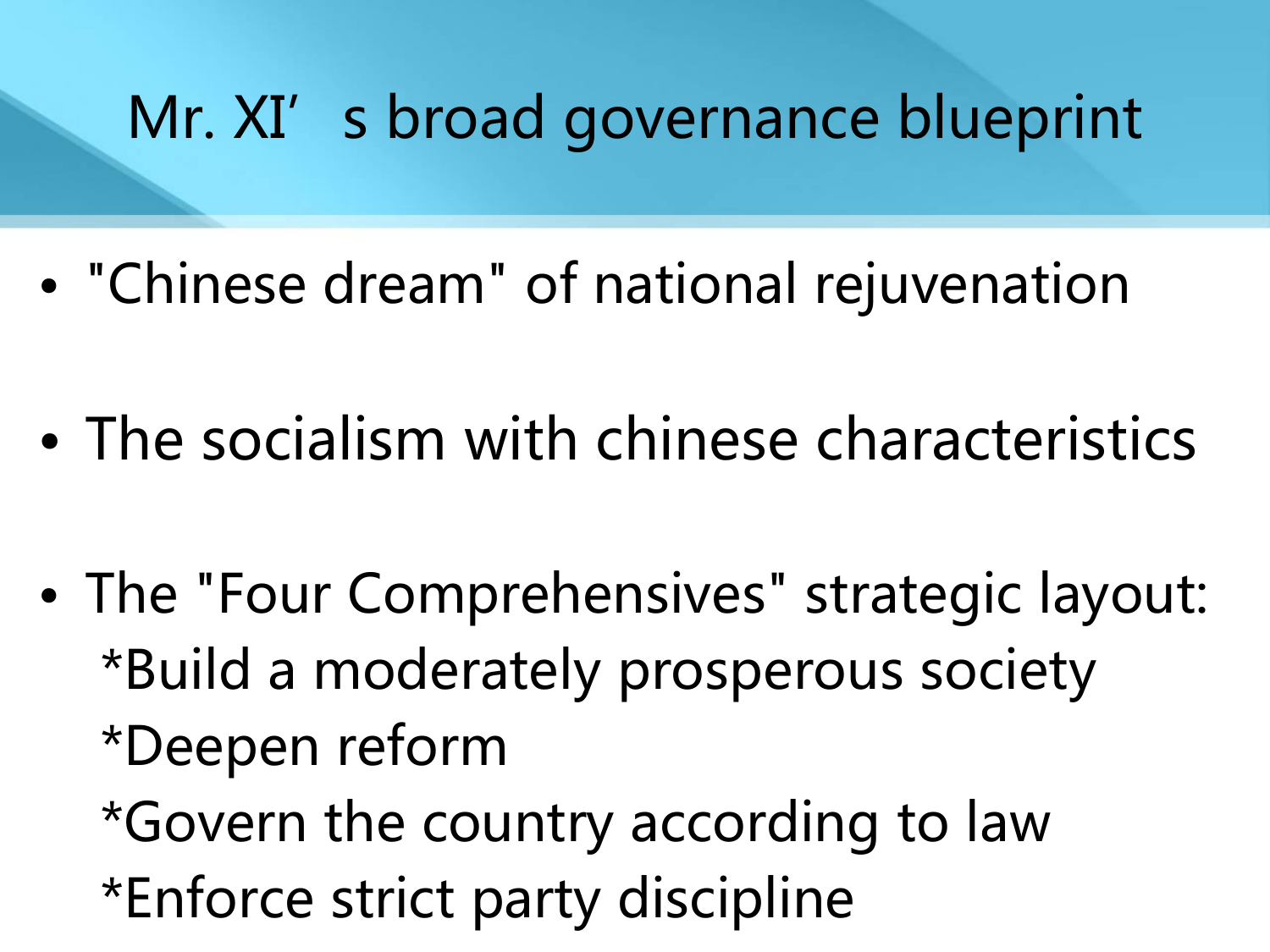# Mr. XI's broad governance blueprint

- "Chinese dream" of national rejuvenation
- The socialism with chinese characteristics
- The "Four Comprehensives" strategic layout: \*Build a moderately prosperous society \*Deepen reform
	- \*Govern the country according to law \*Enforce strict party discipline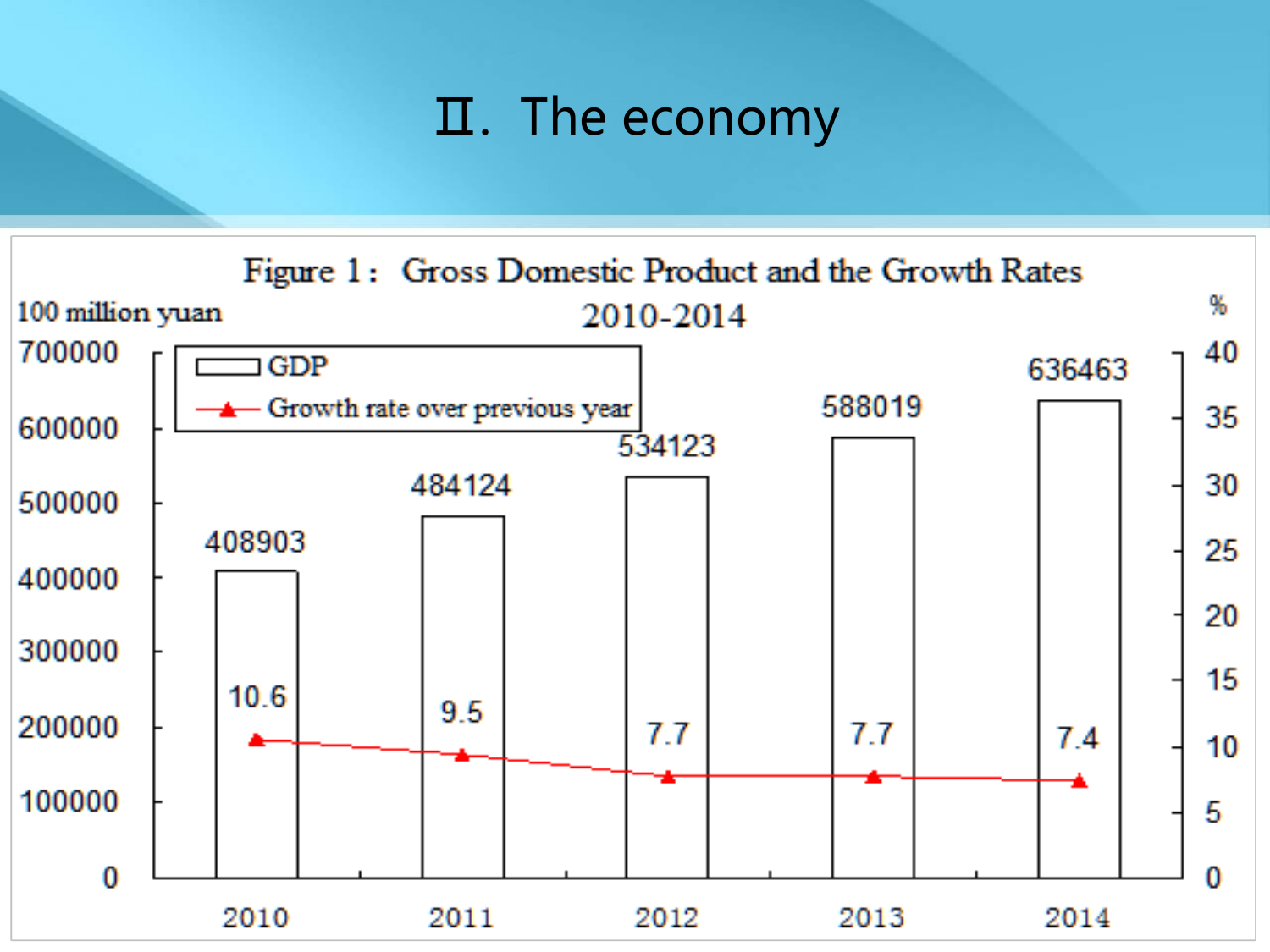#### Ⅱ. The economy

Figure 1: Gross Domestic Product and the Growth Rates

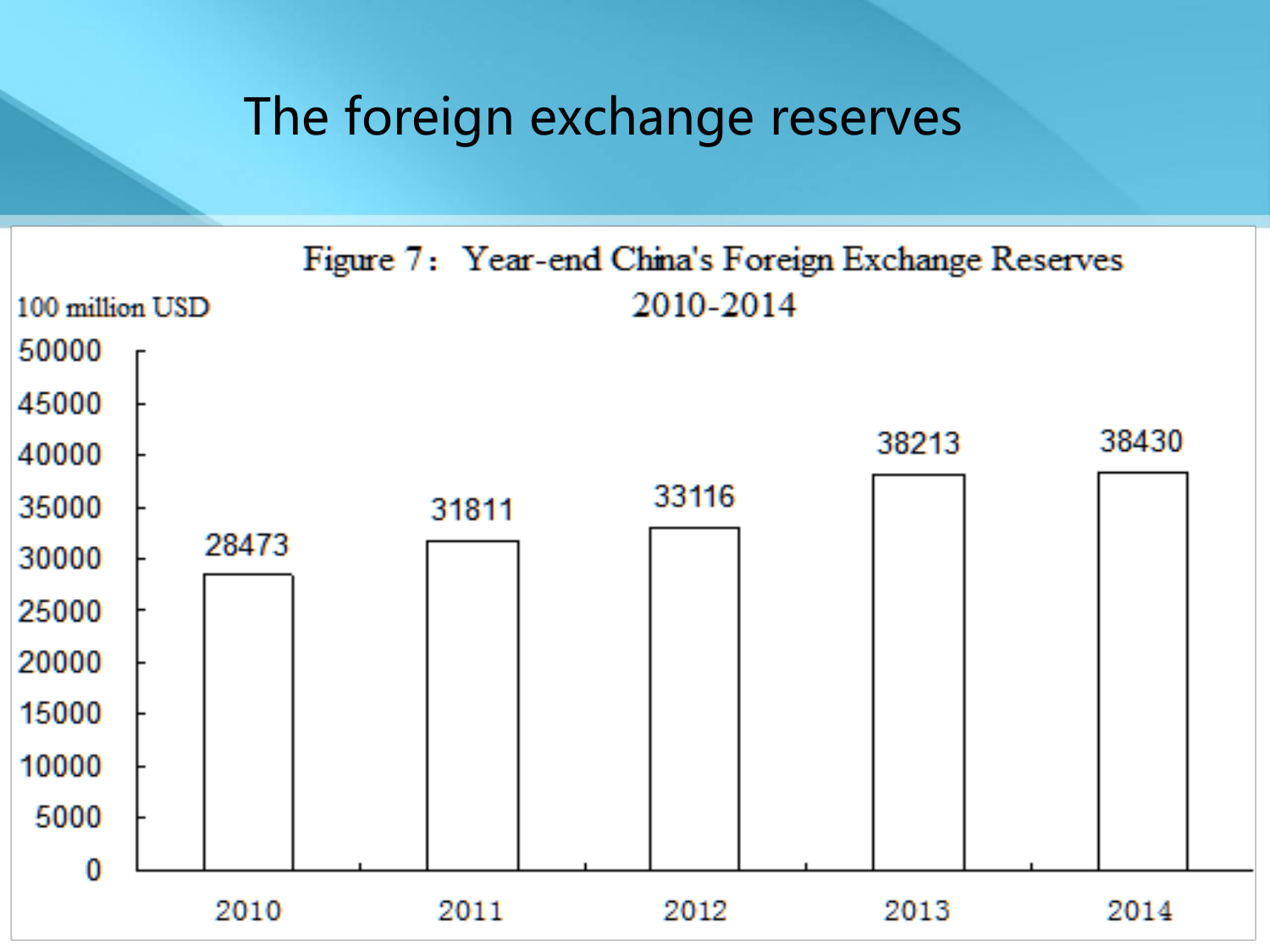#### The foreign exchange reserves

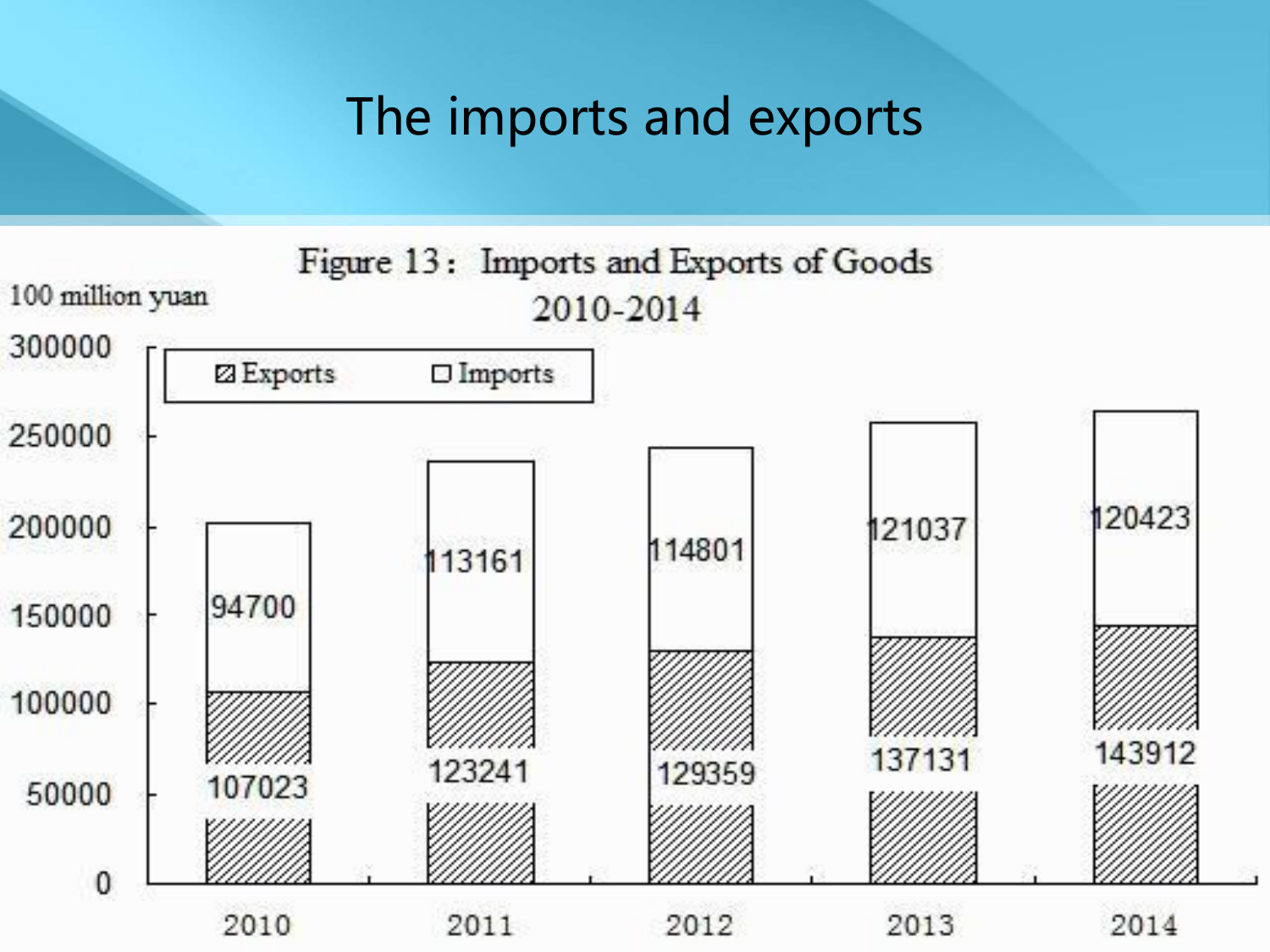#### The imports and exports

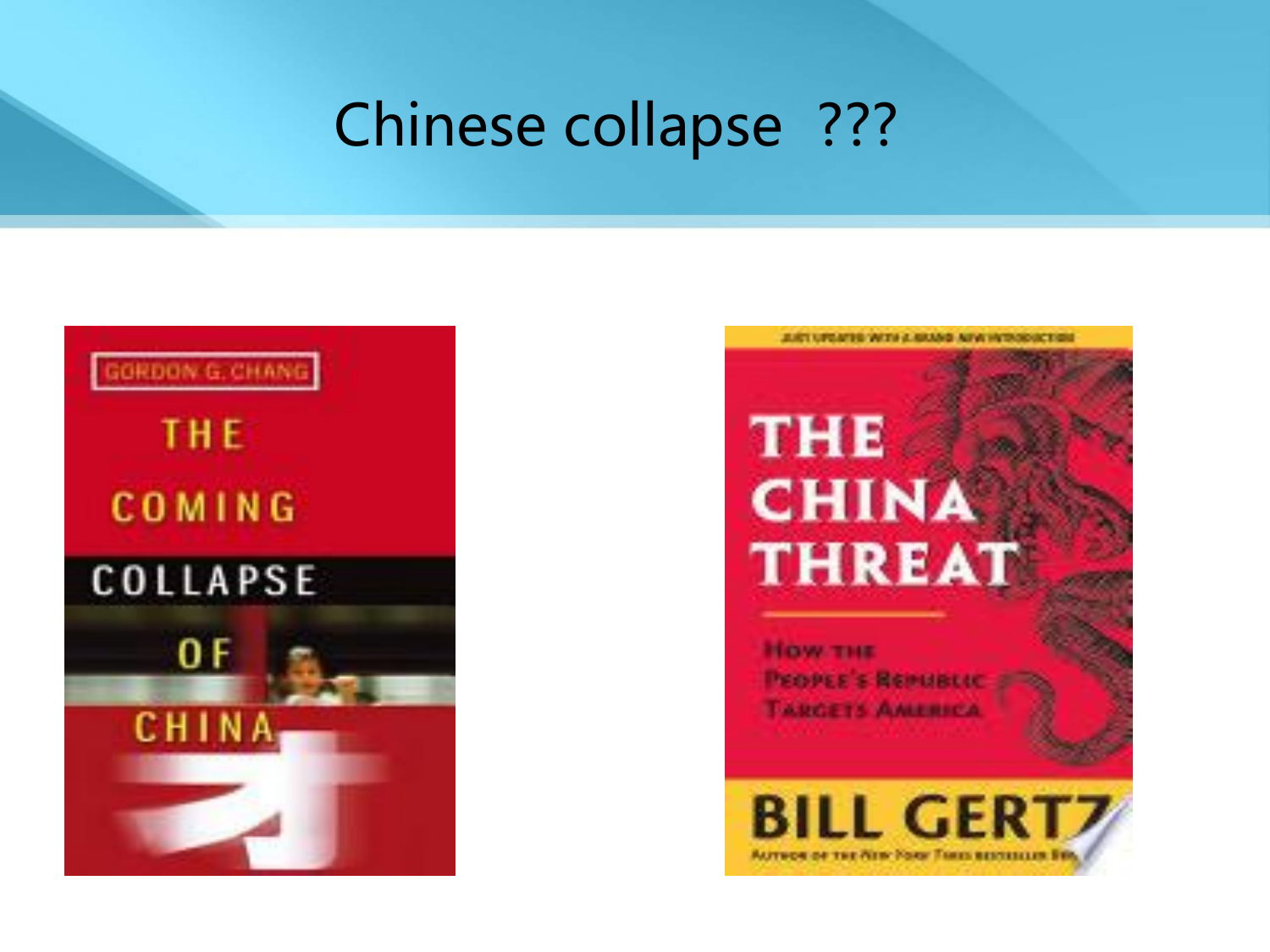# Chinese collapse ???



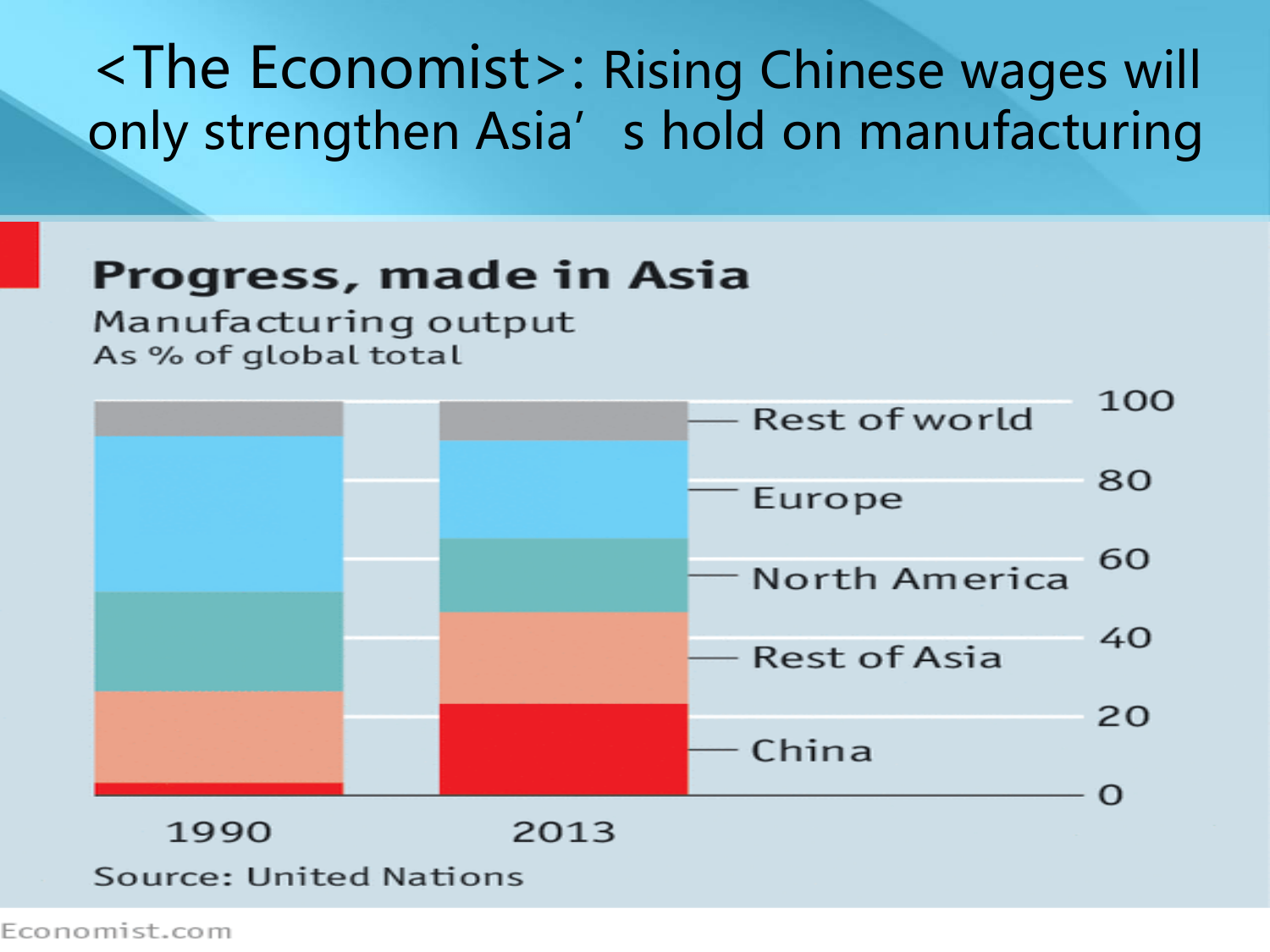<The Economist>: Rising Chinese wages will only strengthen Asia's hold on manufacturing

#### **Progress, made in Asia**

Manufacturing output As % of global total



Economist.com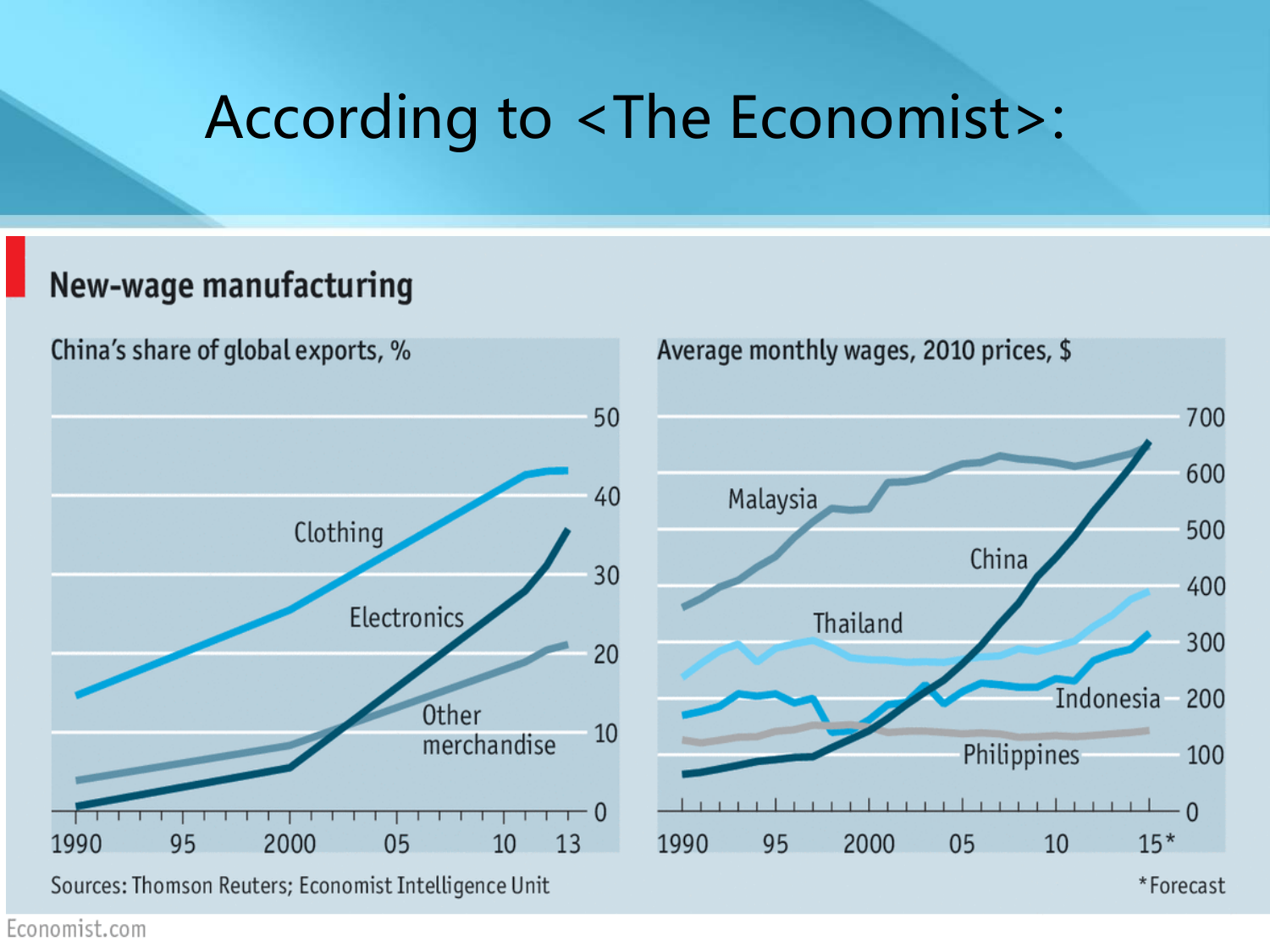# According to <The Economist>:

#### New-wage manufacturing



Economist.com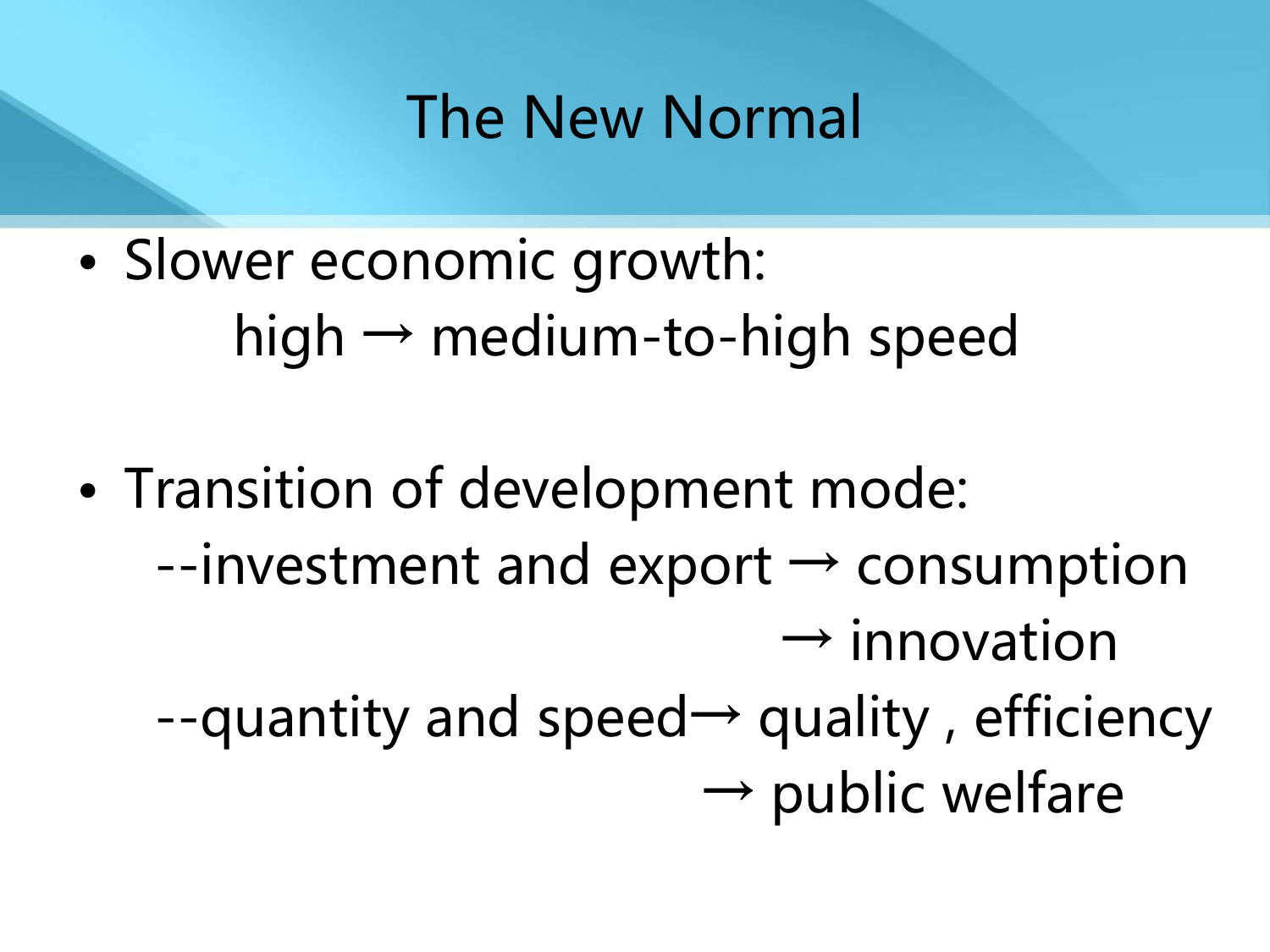# The New Normal

- Slower economic growth: high  $\rightarrow$  medium-to-high speed
- Transition of development mode:  $-$ investment and export  $\rightarrow$  consumption  $\rightarrow$  innovation
	- $-$ quantity and speed $\rightarrow$  quality, efficiency  $\rightarrow$  public welfare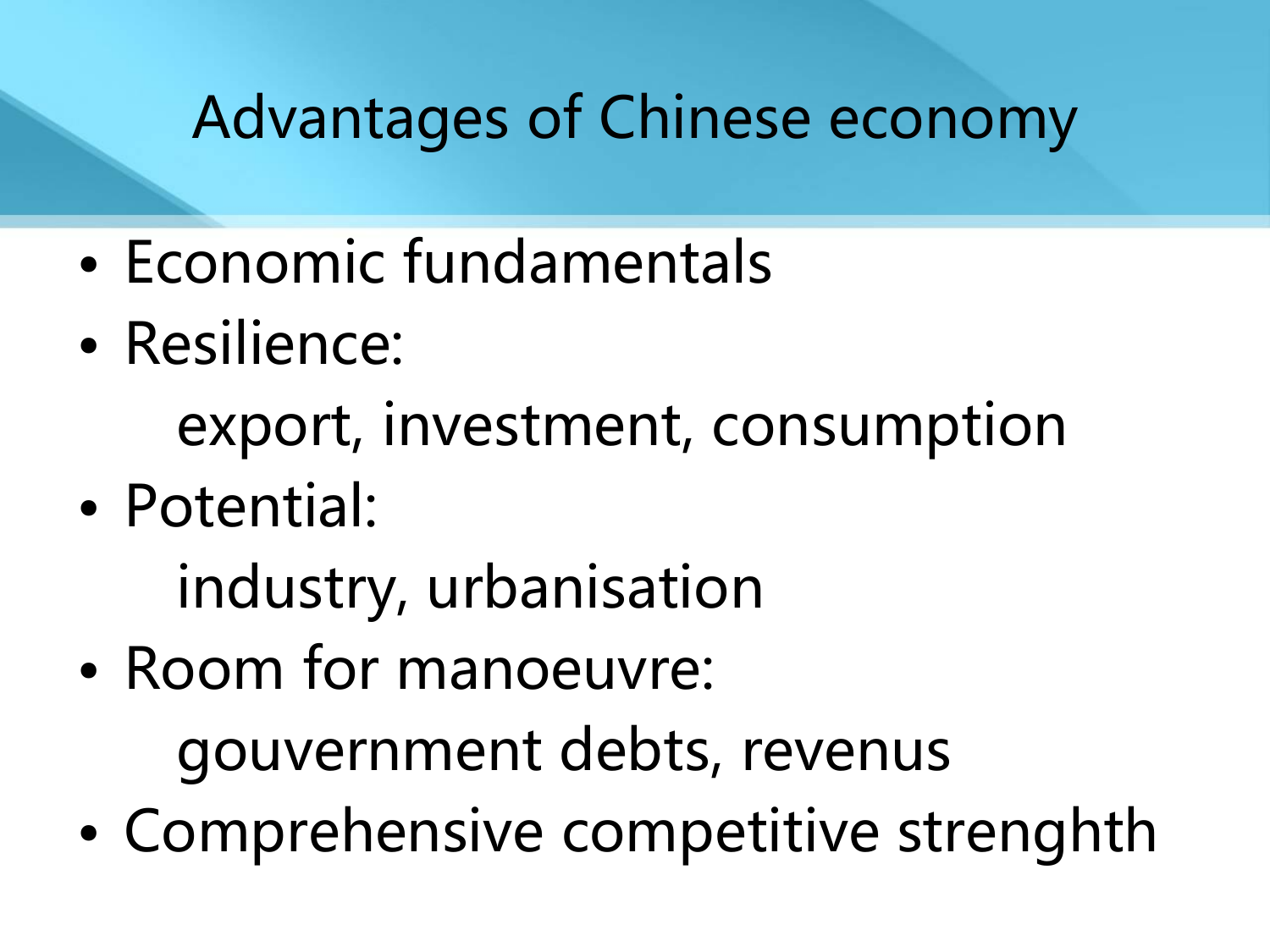# Advantages of Chinese economy

- Economic fundamentals
- Resilience:

export, investment, consumption

• Potential:

industry, urbanisation

• Room for manoeuvre:

gouvernment debts, revenus

• Comprehensive competitive strenghth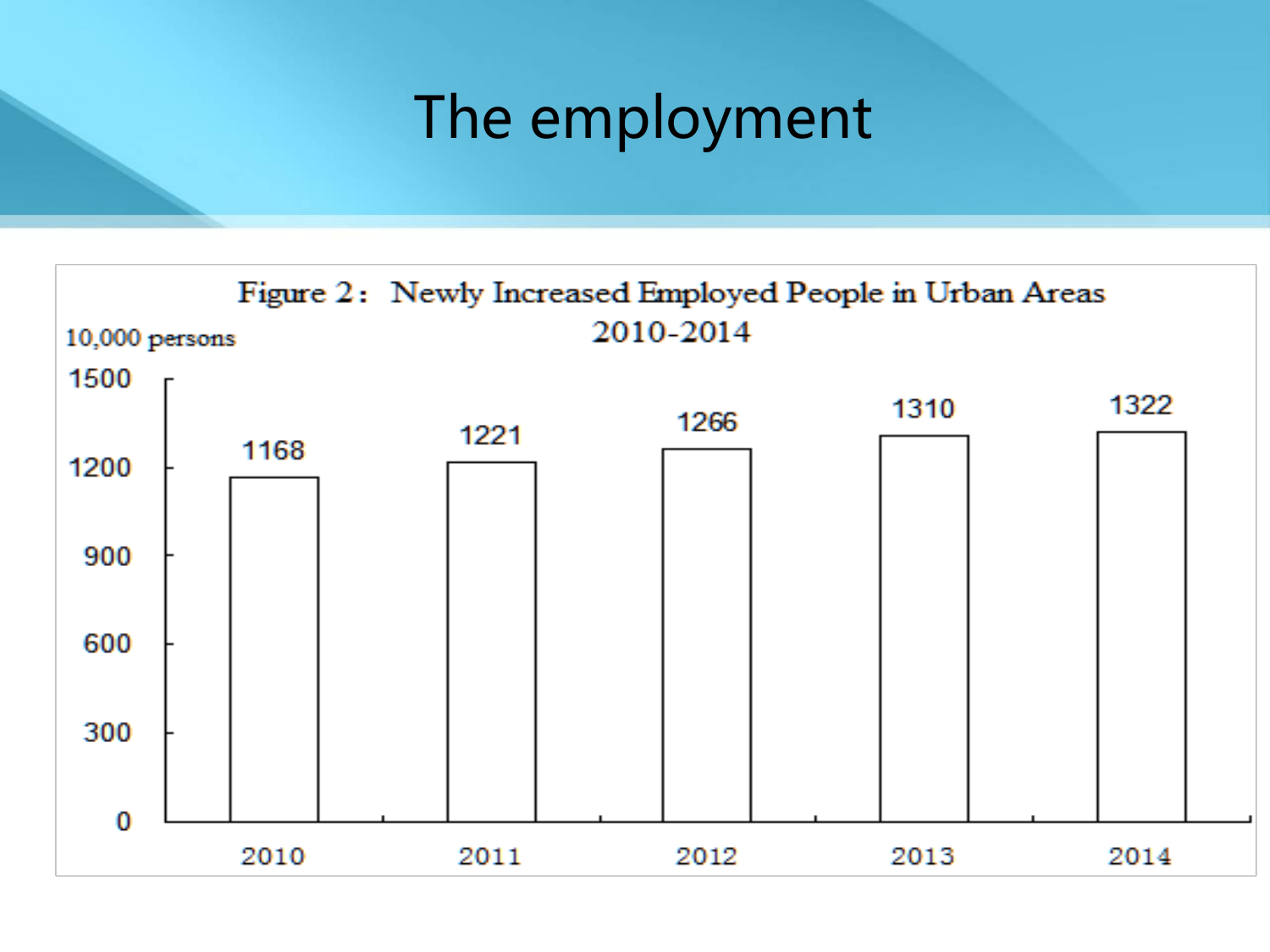# The employment

Figure 2: Newly Increased Employed People in Urban Areas 2010-2014 10,000 persons

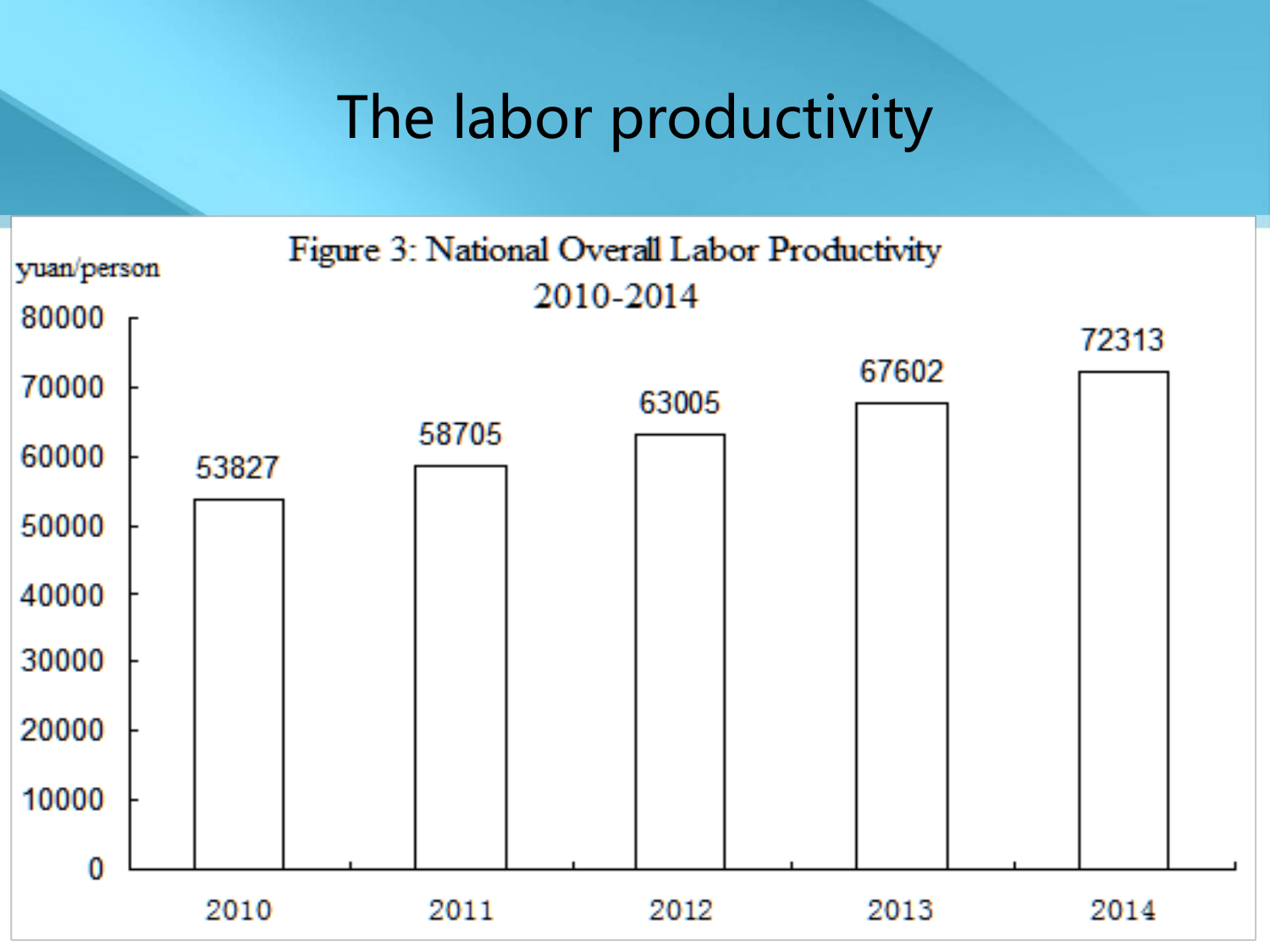# The labor productivity

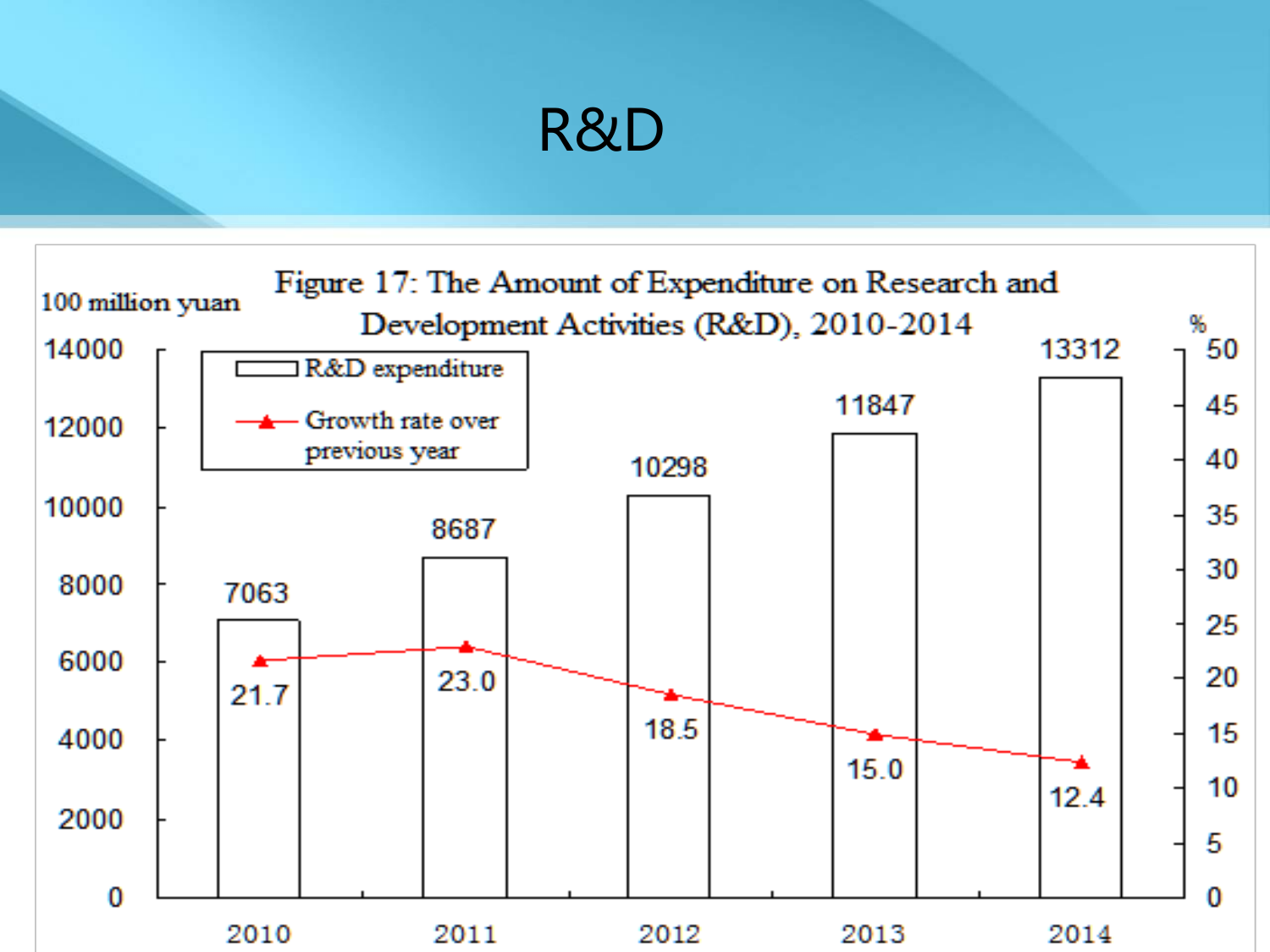#### R&D

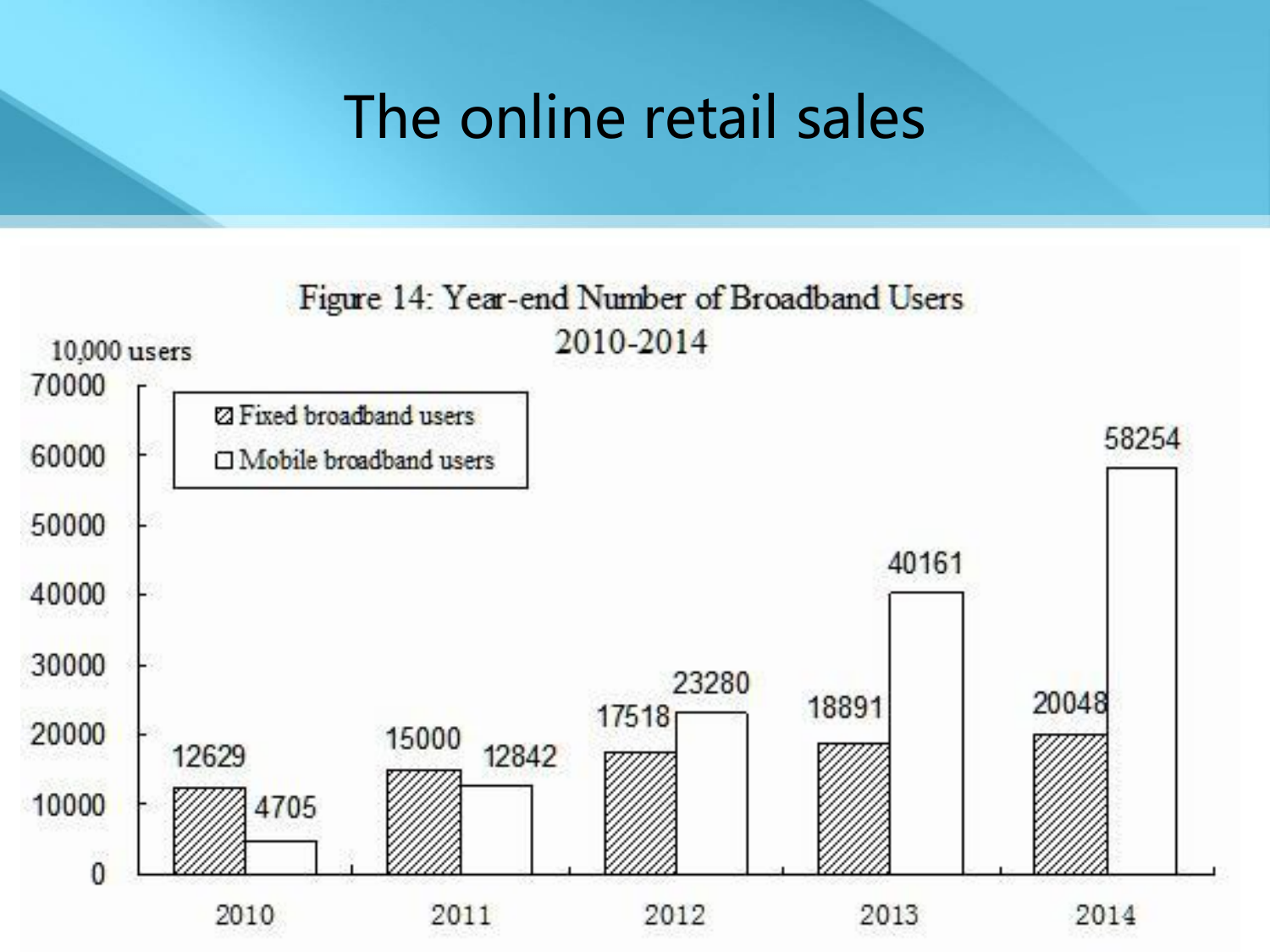# The online retail sales

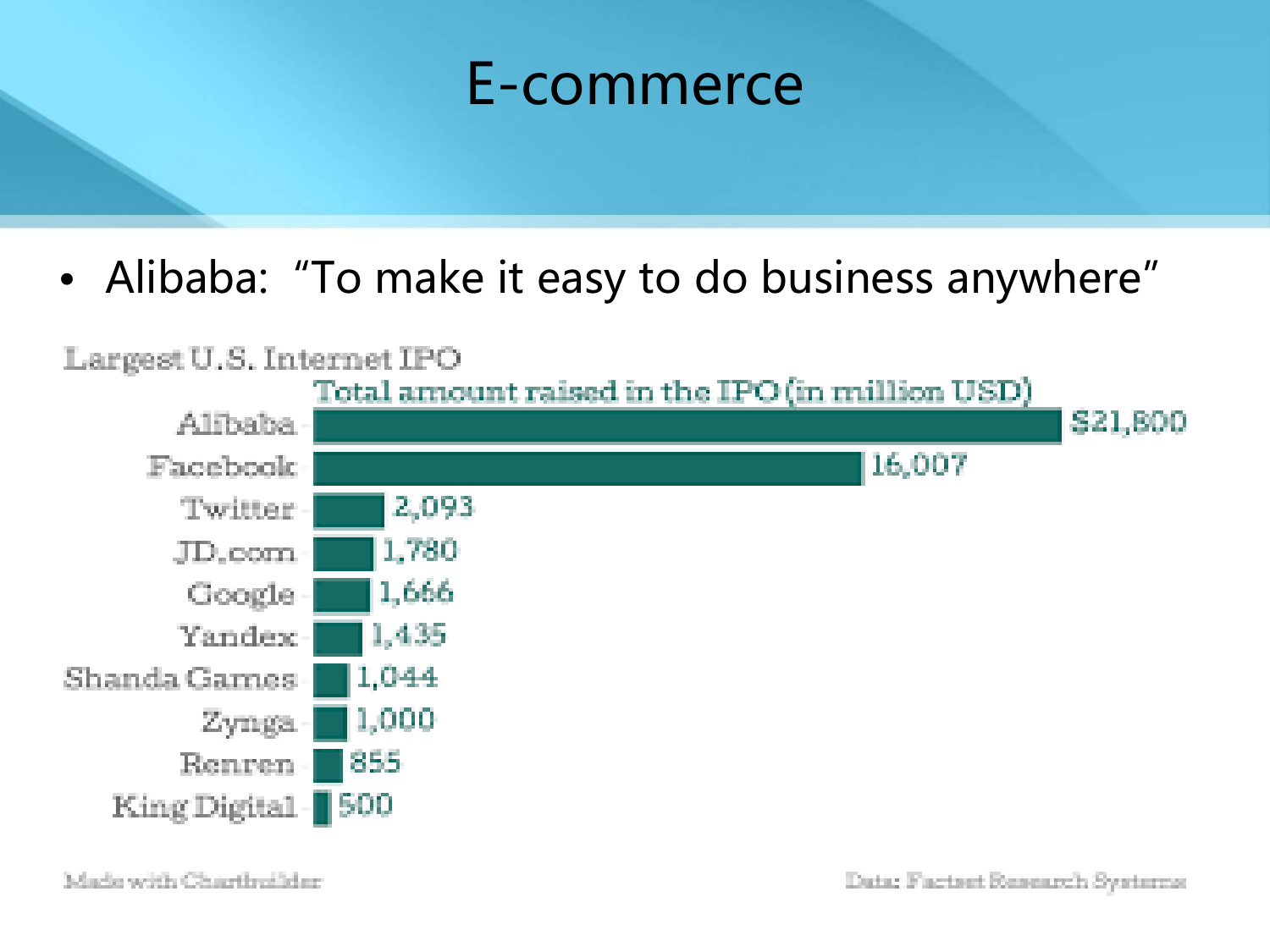#### E-commerce

• Alibaba:"To make it easy to do business anywhere"



Made with Chartbuilder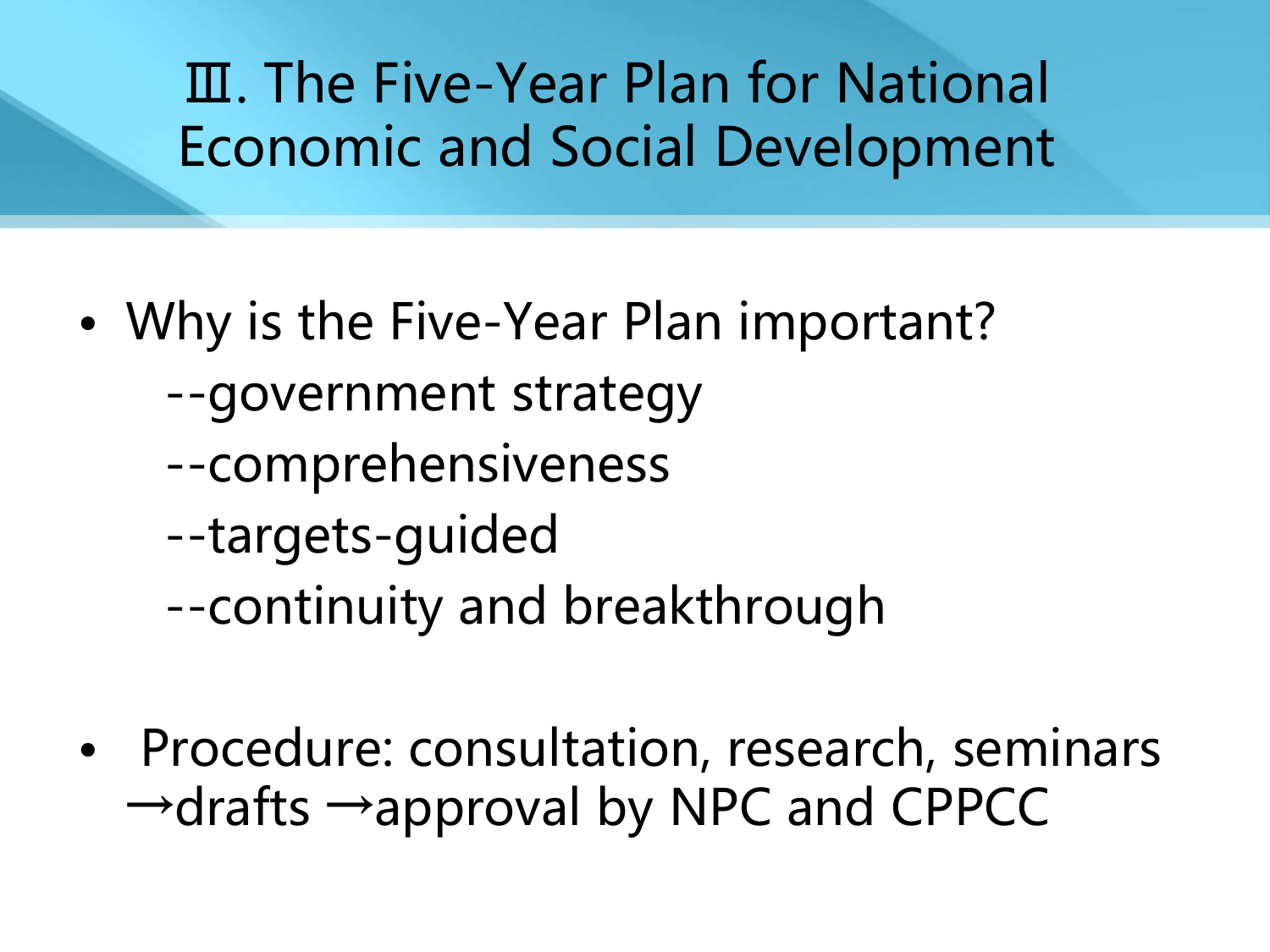### Ⅲ. The Five-Year Plan for National Economic and Social Development

- Why is the Five-Year Plan important?
	- --government strategy
	- --comprehensiveness
	- --targets-guided
	- --continuity and breakthrough
- Procedure: consultation, research, seminars  $\rightarrow$ drafts  $\rightarrow$ approval by NPC and CPPCC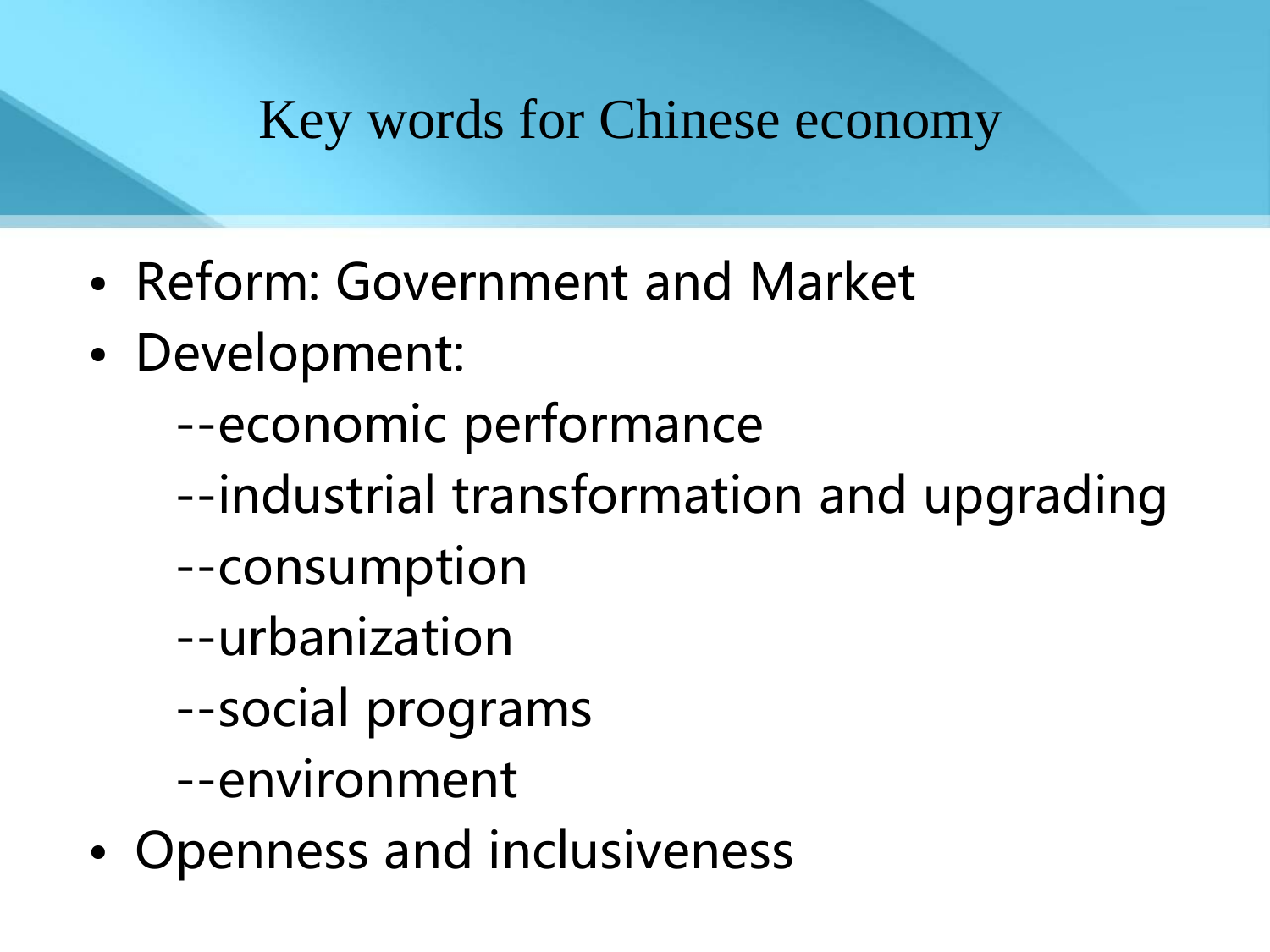#### Key words for Chinese economy

- Reform: Government and Market
- Development:
	- --economic performance
	- --industrial transformation and upgrading
	- --consumption
	- --urbanization
	- --social programs
	- --environment
- Openness and inclusiveness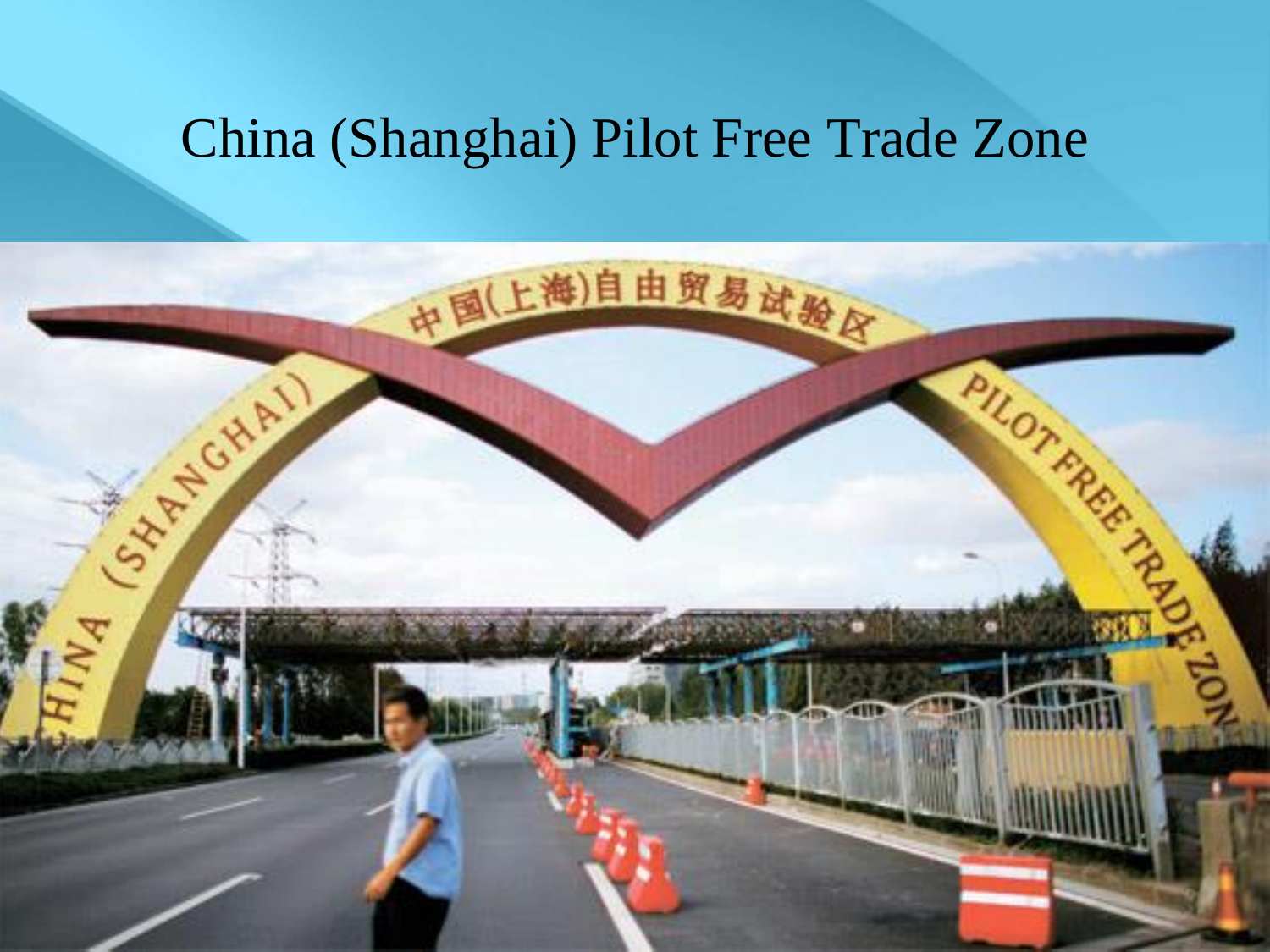#### China (Shanghai) Pilot Free Trade Zone

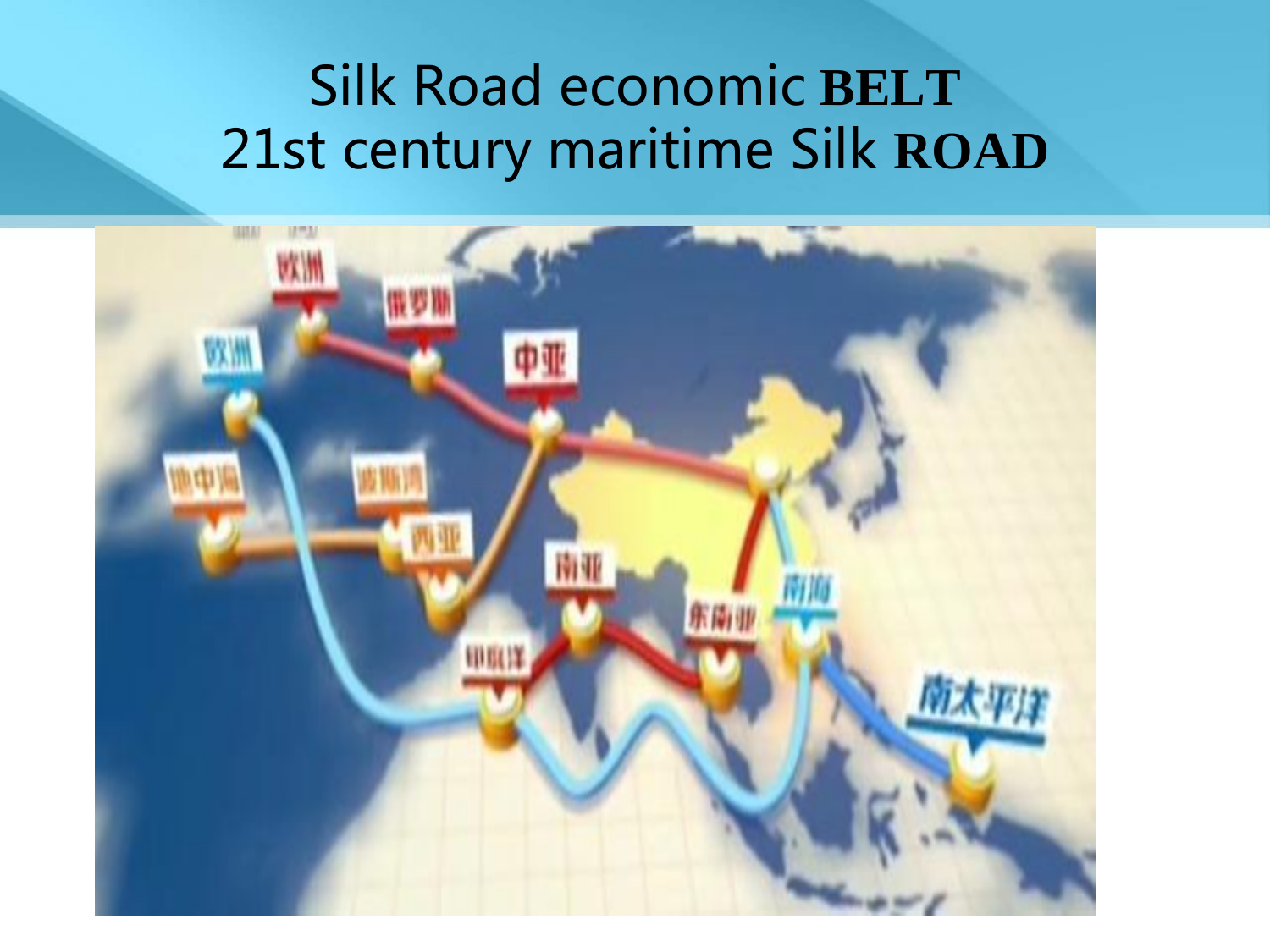## Silk Road economic **BELT** 21st century maritime Silk **ROAD**

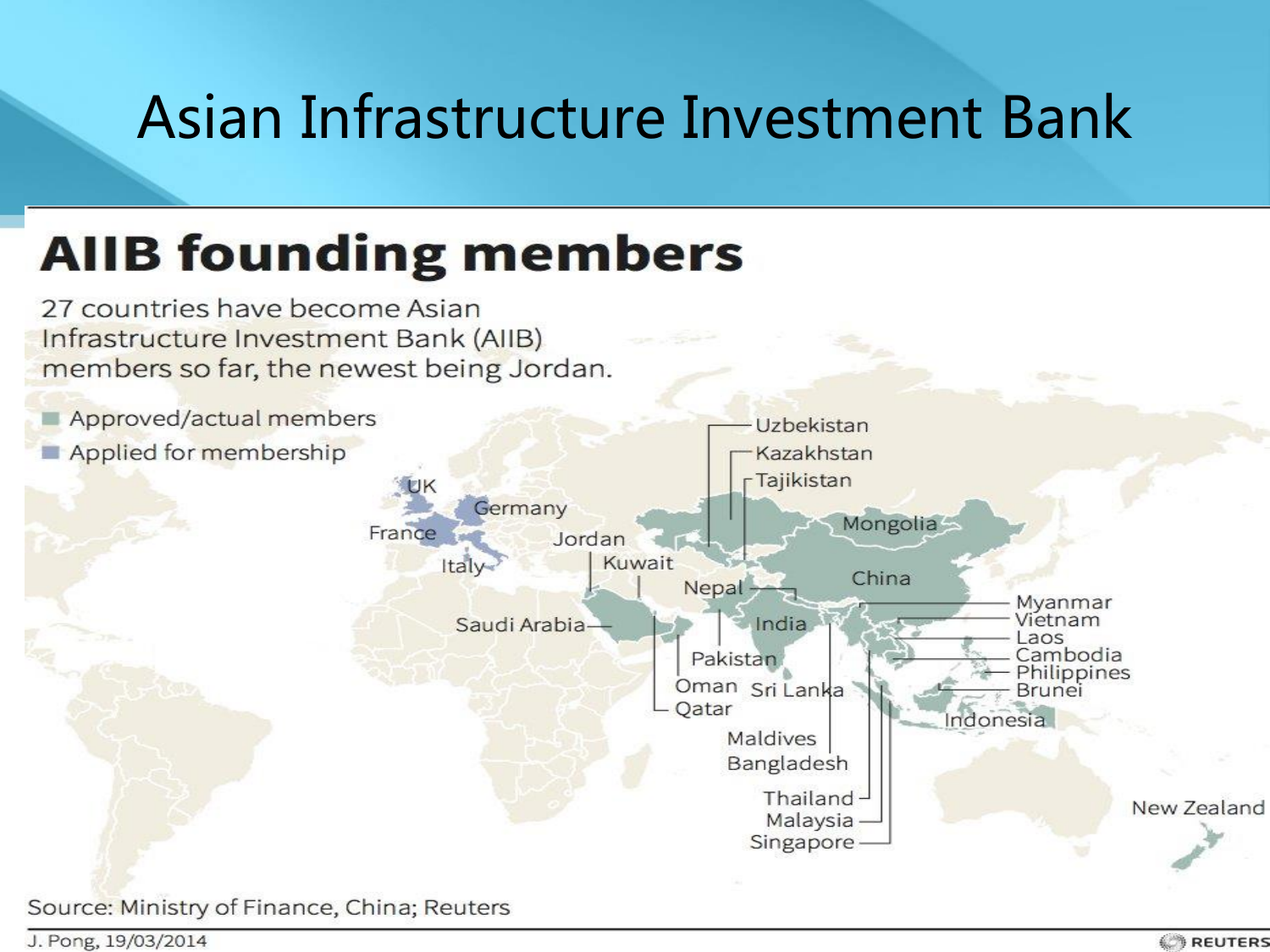# Asian Infrastructure Investment Bank

# **AllB founding members**

27 countries have become Asian Infrastructure Investment Bank (AIIB) members so far, the newest being Jordan.



Source: Ministry of Finance, China; Reuters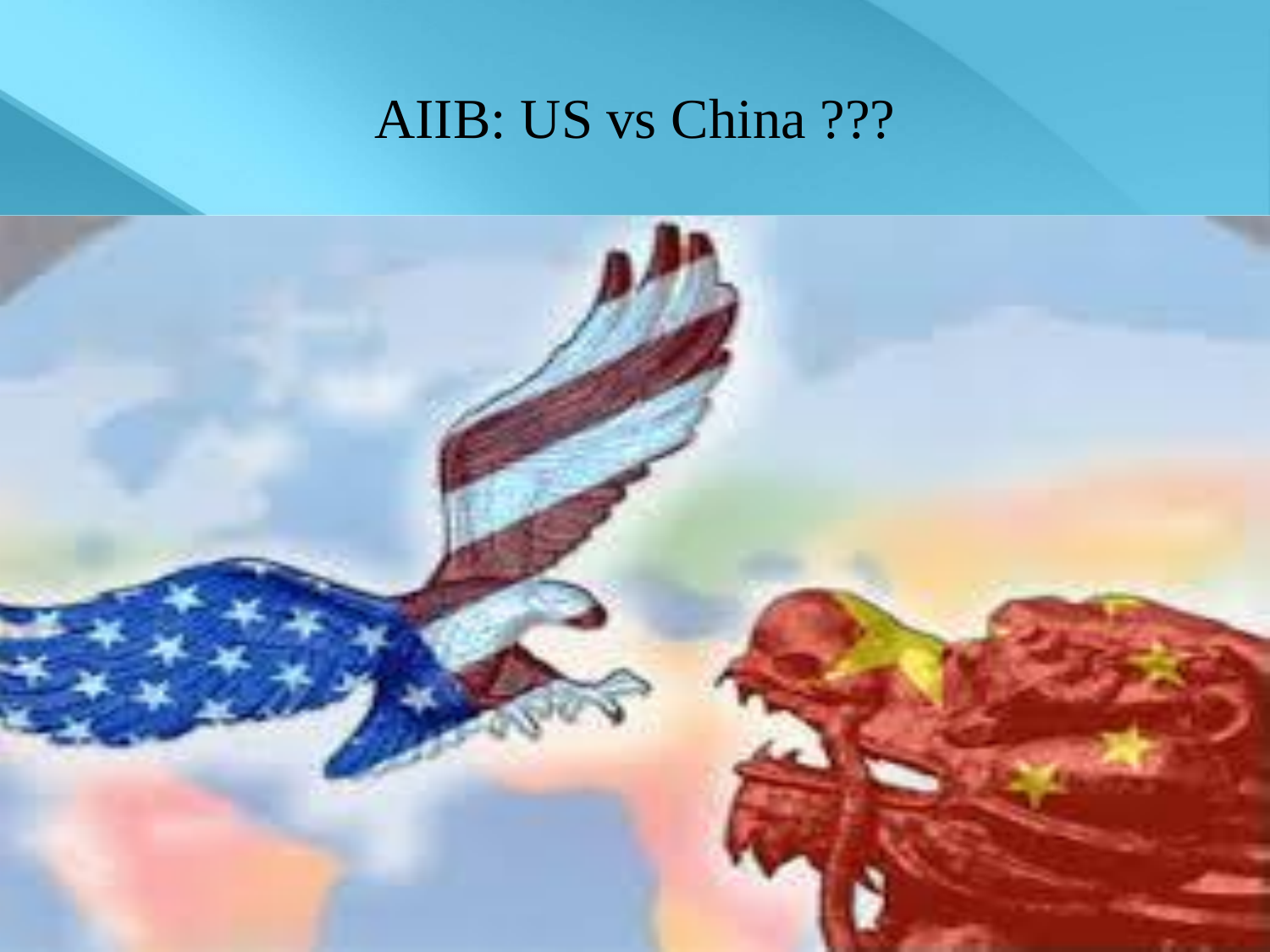## AIIB: US vs China ???

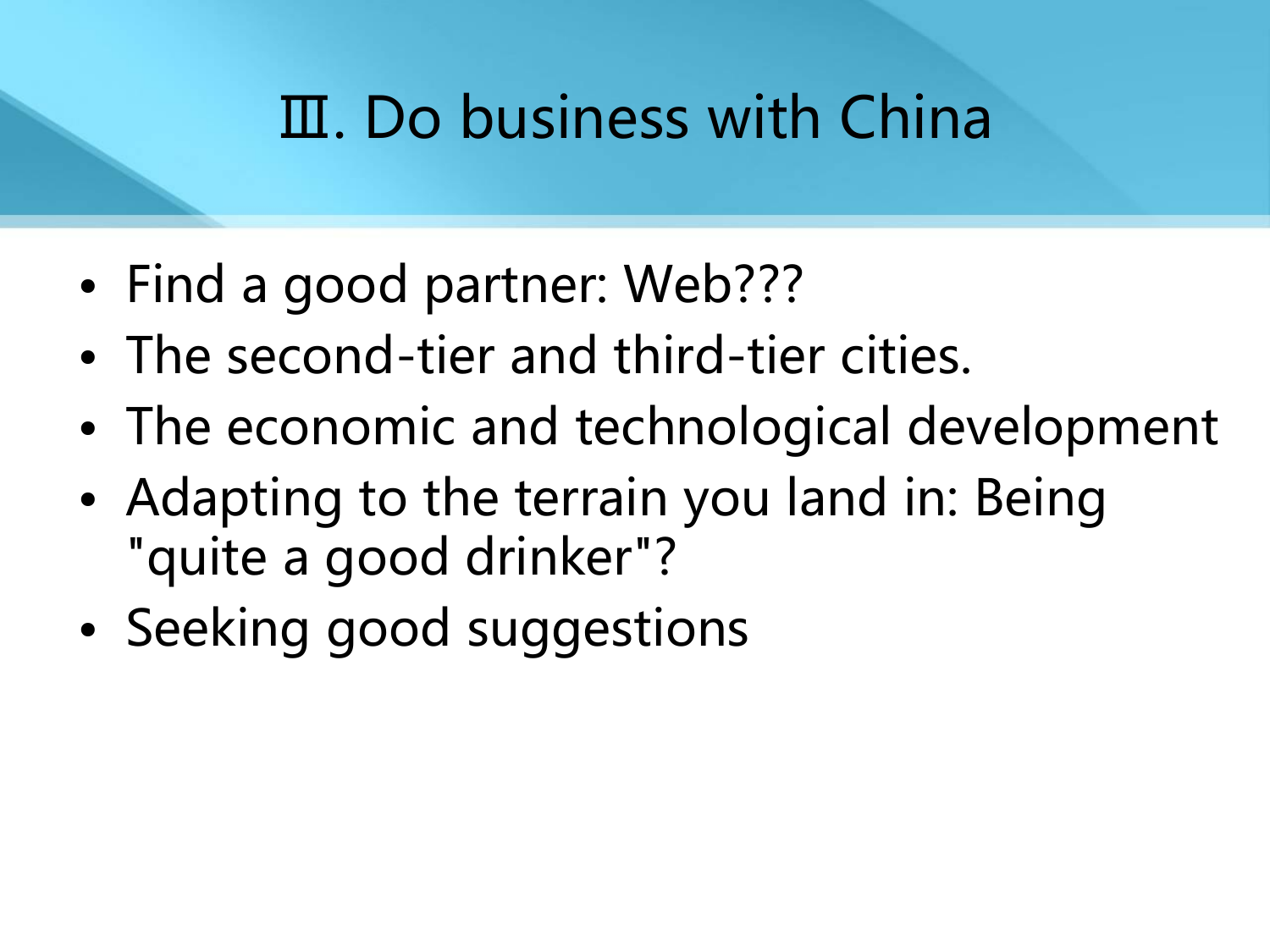# Ⅲ. Do business with China

- Find a good partner: Web???
- The second-tier and third-tier cities.
- The economic and technological development
- Adapting to the terrain you land in: Being "quite a good drinker"?
- Seeking good suggestions